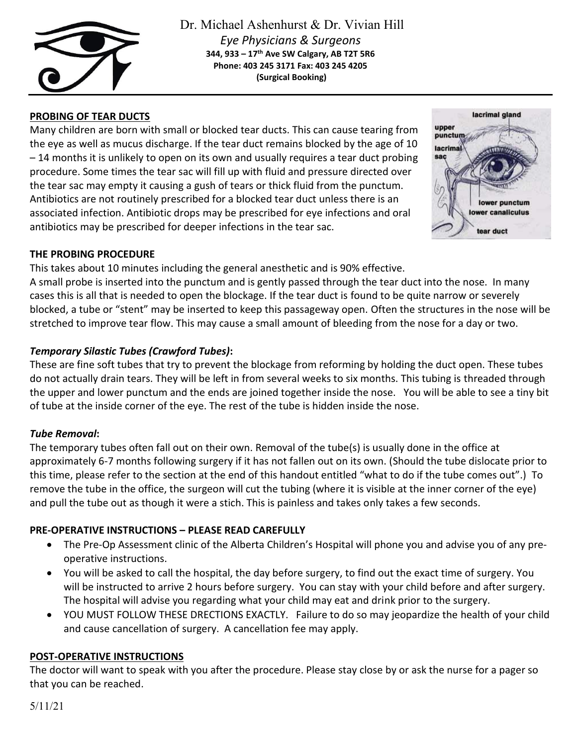

Dr. Michael Ashenhurst & Dr. Vivian Hill *Eye Physicians & Surgeons* **344, 933 – 17th Ave SW Calgary, AB T2T 5R6 Phone: 403 245 3171 Fax: 403 245 4205 (Surgical Booking)**

# **PROBING OF TEAR DUCTS**

Many children are born with small or blocked tear ducts. This can cause tearing from the eye as well as mucus discharge. If the tear duct remains blocked by the age of 10 – 14 months it is unlikely to open on its own and usually requires a tear duct probing procedure. Some times the tear sac will fill up with fluid and pressure directed over the tear sac may empty it causing a gush of tears or thick fluid from the punctum. Antibiotics are not routinely prescribed for a blocked tear duct unless there is an associated infection. Antibiotic drops may be prescribed for eye infections and oral antibiotics may be prescribed for deeper infections in the tear sac.



### **THE PROBING PROCEDURE**

This takes about 10 minutes including the general anesthetic and is 90% effective. A small probe is inserted into the punctum and is gently passed through the tear duct into the nose. In many cases this is all that is needed to open the blockage. If the tear duct is found to be quite narrow or severely blocked, a tube or "stent" may be inserted to keep this passageway open. Often the structures in the nose will be stretched to improve tear flow. This may cause a small amount of bleeding from the nose for a day or two.

# *Temporary Silastic Tubes (Crawford Tubes)***:**

These are fine soft tubes that try to prevent the blockage from reforming by holding the duct open. These tubes do not actually drain tears. They will be left in from several weeks to six months. This tubing is threaded through the upper and lower punctum and the ends are joined together inside the nose. You will be able to see a tiny bit of tube at the inside corner of the eye. The rest of the tube is hidden inside the nose.

# *Tube Removal***:**

The temporary tubes often fall out on their own. Removal of the tube(s) is usually done in the office at approximately 6-7 months following surgery if it has not fallen out on its own. (Should the tube dislocate prior to this time, please refer to the section at the end of this handout entitled "what to do if the tube comes out".) To remove the tube in the office, the surgeon will cut the tubing (where it is visible at the inner corner of the eye) and pull the tube out as though it were a stich. This is painless and takes only takes a few seconds.

# **PRE-OPERATIVE INSTRUCTIONS – PLEASE READ CAREFULLY**

- The Pre-Op Assessment clinic of the Alberta Children's Hospital will phone you and advise you of any preoperative instructions.
- You will be asked to call the hospital, the day before surgery, to find out the exact time of surgery. You will be instructed to arrive 2 hours before surgery. You can stay with your child before and after surgery. The hospital will advise you regarding what your child may eat and drink prior to the surgery.
- YOU MUST FOLLOW THESE DRECTIONS EXACTLY. Failure to do so may jeopardize the health of your child and cause cancellation of surgery. A cancellation fee may apply.

# **POST-OPERATIVE INSTRUCTIONS**

The doctor will want to speak with you after the procedure. Please stay close by or ask the nurse for a pager so that you can be reached.